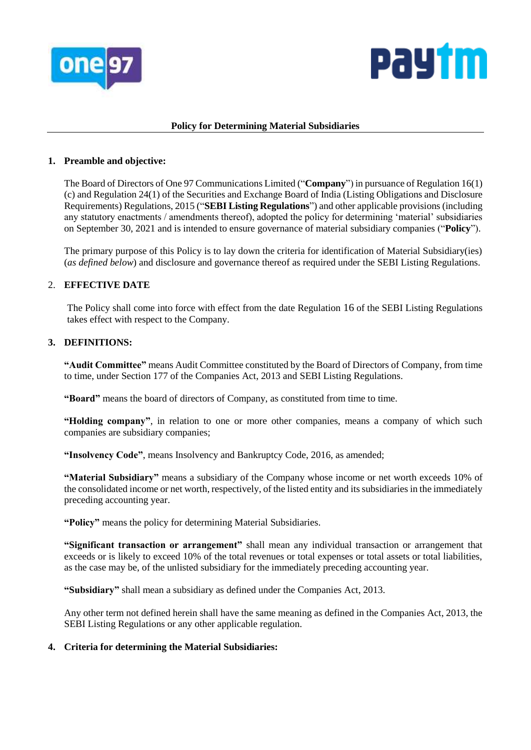



### **Policy for Determining Material Subsidiaries**

# **1. Preamble and objective:**

The Board of Directors of One 97 Communications Limited ("**Company**") in pursuance of Regulation 16(1) (c) and Regulation 24(1) of the Securities and Exchange Board of India (Listing Obligations and Disclosure Requirements) Regulations, 2015 ("**SEBI Listing Regulations**") and other applicable provisions (including any statutory enactments / amendments thereof), adopted the policy for determining 'material' subsidiaries on September 30, 2021 and is intended to ensure governance of material subsidiary companies ("**Policy**").

The primary purpose of this Policy is to lay down the criteria for identification of Material Subsidiary(ies) (*as defined below*) and disclosure and governance thereof as required under the SEBI Listing Regulations.

# 2. **EFFECTIVE DATE**

The Policy shall come into force with effect from the date Regulation 16 of the SEBI Listing Regulations takes effect with respect to the Company.

# **3. DEFINITIONS:**

**"Audit Committee"** means Audit Committee constituted by the Board of Directors of Company, from time to time, under Section 177 of the Companies Act, 2013 and SEBI Listing Regulations.

**"Board"** means the board of directors of Company, as constituted from time to time.

**"Holding company"**, in relation to one or more other companies, means a company of which such companies are subsidiary companies;

**"Insolvency Code"**, means Insolvency and Bankruptcy Code, 2016, as amended;

**"Material Subsidiary"** means a subsidiary of the Company whose income or net worth exceeds 10% of the consolidated income or net worth, respectively, of the listed entity and its subsidiaries in the immediately preceding accounting year.

**"Policy"** means the policy for determining Material Subsidiaries.

**"Significant transaction or arrangement"** shall mean any individual transaction or arrangement that exceeds or is likely to exceed 10% of the total revenues or total expenses or total assets or total liabilities, as the case may be, of the unlisted subsidiary for the immediately preceding accounting year.

**"Subsidiary"** shall mean a subsidiary as defined under the Companies Act, 2013.

Any other term not defined herein shall have the same meaning as defined in the Companies Act, 2013, the SEBI Listing Regulations or any other applicable regulation.

#### **4. Criteria for determining the Material Subsidiaries:**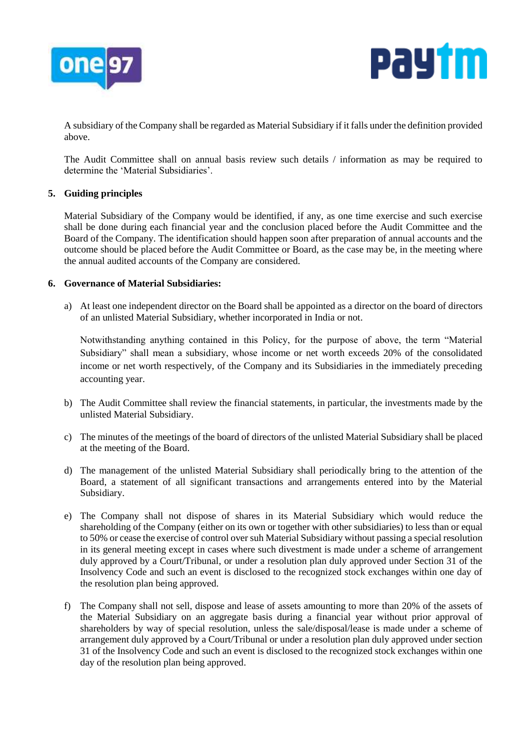



A subsidiary of the Company shall be regarded as Material Subsidiary if it falls under the definition provided above.

The Audit Committee shall on annual basis review such details / information as may be required to determine the 'Material Subsidiaries'.

# **5. Guiding principles**

Material Subsidiary of the Company would be identified, if any, as one time exercise and such exercise shall be done during each financial year and the conclusion placed before the Audit Committee and the Board of the Company. The identification should happen soon after preparation of annual accounts and the outcome should be placed before the Audit Committee or Board, as the case may be, in the meeting where the annual audited accounts of the Company are considered.

#### **6. Governance of Material Subsidiaries:**

a) At least one independent director on the Board shall be appointed as a director on the board of directors of an unlisted Material Subsidiary, whether incorporated in India or not.

Notwithstanding anything contained in this Policy, for the purpose of above, the term "Material Subsidiary" shall mean a subsidiary, whose income or net worth exceeds 20% of the consolidated income or net worth respectively, of the Company and its Subsidiaries in the immediately preceding accounting year.

- b) The Audit Committee shall review the financial statements, in particular, the investments made by the unlisted Material Subsidiary.
- c) The minutes of the meetings of the board of directors of the unlisted Material Subsidiary shall be placed at the meeting of the Board.
- d) The management of the unlisted Material Subsidiary shall periodically bring to the attention of the Board, a statement of all significant transactions and arrangements entered into by the Material Subsidiary.
- e) The Company shall not dispose of shares in its Material Subsidiary which would reduce the shareholding of the Company (either on its own or together with other subsidiaries) to less than or equal to 50% or cease the exercise of control over suh Material Subsidiary without passing a special resolution in its general meeting except in cases where such divestment is made under a scheme of arrangement duly approved by a Court/Tribunal, or under a resolution plan duly approved under Section 31 of the Insolvency Code and such an event is disclosed to the recognized stock exchanges within one day of the resolution plan being approved.
- f) The Company shall not sell, dispose and lease of assets amounting to more than 20% of the assets of the Material Subsidiary on an aggregate basis during a financial year without prior approval of shareholders by way of special resolution, unless the sale/disposal/lease is made under a scheme of arrangement duly approved by a Court/Tribunal or under a resolution plan duly approved under section 31 of the Insolvency Code and such an event is disclosed to the recognized stock exchanges within one day of the resolution plan being approved.